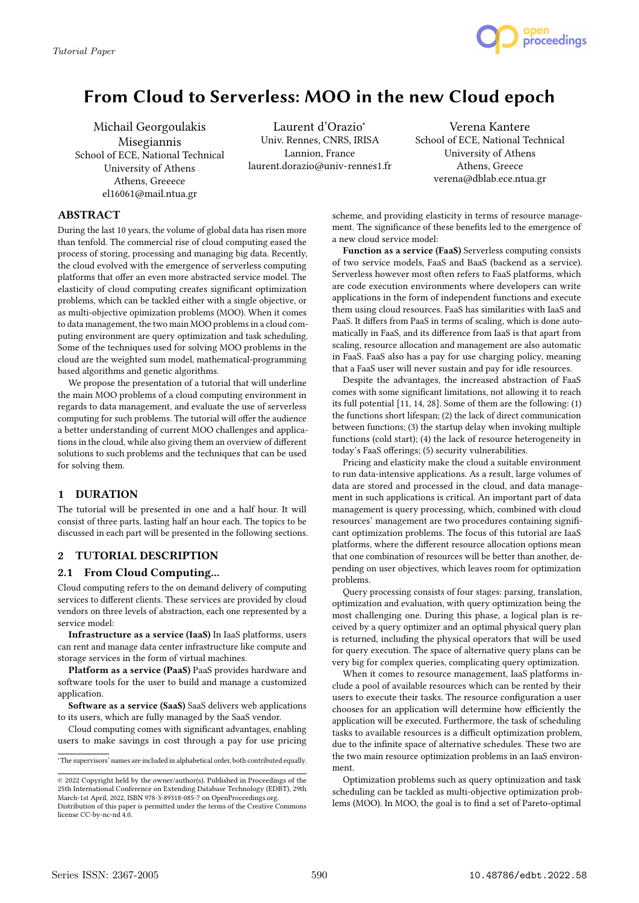

# From Cloud to Serverless: MOO in the new Cloud epoch

Michail Georgoulakis Misegiannis School of ECE, National Technical University of Athens Athens, Greeece el16061@mail.ntua.gr

Laurent d'Orazio<sup>∗</sup> Univ. Rennes, CNRS, IRISA Lannion, France laurent.dorazio@univ-rennes1.fr

Verena Kantere School of ECE, National Technical University of Athens Athens, Greece verena@dblab.ece.ntua.gr

# ABSTRACT

During the last 10 years, the volume of global data has risen more than tenfold. The commercial rise of cloud computing eased the process of storing, processing and managing big data. Recently, the cloud evolved with the emergence of serverless computing platforms that offer an even more abstracted service model. The elasticity of cloud computing creates significant optimization problems, which can be tackled either with a single objective, or as multi-objective opimization problems (MOO). When it comes to data management, the two main MOO problems in a cloud computing environment are query optimization and task scheduling. Some of the techniques used for solving MOO problems in the cloud are the weighted sum model, mathematical-programming based algorithms and genetic algorithms.

We propose the presentation of a tutorial that will underline the main MOO problems of a cloud computing environment in regards to data management, and evaluate the use of serverless computing for such problems. The tutorial will offer the audience a better understanding of current MOO challenges and applications in the cloud, while also giving them an overview of different solutions to such problems and the techniques that can be used for solving them.

# 1 DURATION

The tutorial will be presented in one and a half hour. It will consist of three parts, lasting half an hour each. The topics to be discussed in each part will be presented in the following sections.

# 2 TUTORIAL DESCRIPTION

# 2.1 From Cloud Computing...

Cloud computing refers to the on demand delivery of computing services to different clients. These services are provided by cloud vendors on three levels of abstraction, each one represented by a service model:

Infrastructure as a service (IaaS) In IaaS platforms, users can rent and manage data center infrastructure like compute and storage services in the form of virtual machines.

Platform as a service (PaaS) PaaS provides hardware and software tools for the user to build and manage a customized application.

Software as a service (SaaS) SaaS delivers web applications to its users, which are fully managed by the SaaS vendor.

Cloud computing comes with significant advantages, enabling users to make savings in cost through a pay for use pricing scheme, and providing elasticity in terms of resource management. The significance of these benefits led to the emergence of a new cloud service model:

Function as a service (FaaS) Serverless computing consists of two service models, FaaS and BaaS (backend as a service). Serverless however most often refers to FaaS platforms, which are code execution environments where developers can write applications in the form of independent functions and execute them using cloud resources. FaaS has similarities with IaaS and PaaS. It differs from PaaS in terms of scaling, which is done automatically in FaaS, and its difference from IaaS is that apart from scaling, resource allocation and management are also automatic in FaaS. FaaS also has a pay for use charging policy, meaning that a FaaS user will never sustain and pay for idle resources.

Despite the advantages, the increased abstraction of FaaS comes with some significant limitations, not allowing it to reach its full potential [11, 14, 28]. Some of them are the following: (1) the functions short lifespan; (2) the lack of direct communication between functions; (3) the startup delay when invoking multiple functions (cold start); (4) the lack of resource heterogeneity in today's FaaS offerings; (5) security vulnerabilities.

Pricing and elasticity make the cloud a suitable environment to run data-intensive applications. As a result, large volumes of data are stored and processed in the cloud, and data management in such applications is critical. An important part of data management is query processing, which, combined with cloud resources' management are two procedures containing significant optimization problems. The focus of this tutorial are IaaS platforms, where the different resource allocation options mean that one combination of resources will be better than another, depending on user objectives, which leaves room for optimization problems.

Query processing consists of four stages: parsing, translation, optimization and evaluation, with query optimization being the most challenging one. During this phase, a logical plan is received by a query optimizer and an optimal physical query plan is returned, including the physical operators that will be used for query execution. The space of alternative query plans can be very big for complex queries, complicating query optimization.

When it comes to resource management, IaaS platforms include a pool of available resources which can be rented by their users to execute their tasks. The resource configuration a user chooses for an application will determine how efficiently the application will be executed. Furthermore, the task of scheduling tasks to available resources is a difficult optimization problem, due to the infinite space of alternative schedules. These two are the two main resource optimization problems in an IaaS environment.

Optimization problems such as query optimization and task scheduling can be tackled as multi-objective optimization problems (MOO). In MOO, the goal is to find a set of Pareto-optimal

<sup>∗</sup>The supervisors' names are included in alphabetical order, both contributed equally.

<sup>©</sup> 2022 Copyright held by the owner/author(s). Published in Proceedings of the 25th International Conference on Extending Database Technology (EDBT), 29th March-1st April, 2022, ISBN 978-3-89318-085-7 on OpenProceedings.org.

Distribution of this paper is permitted under the terms of the Creative Commons license CC-by-nc-nd 4.0.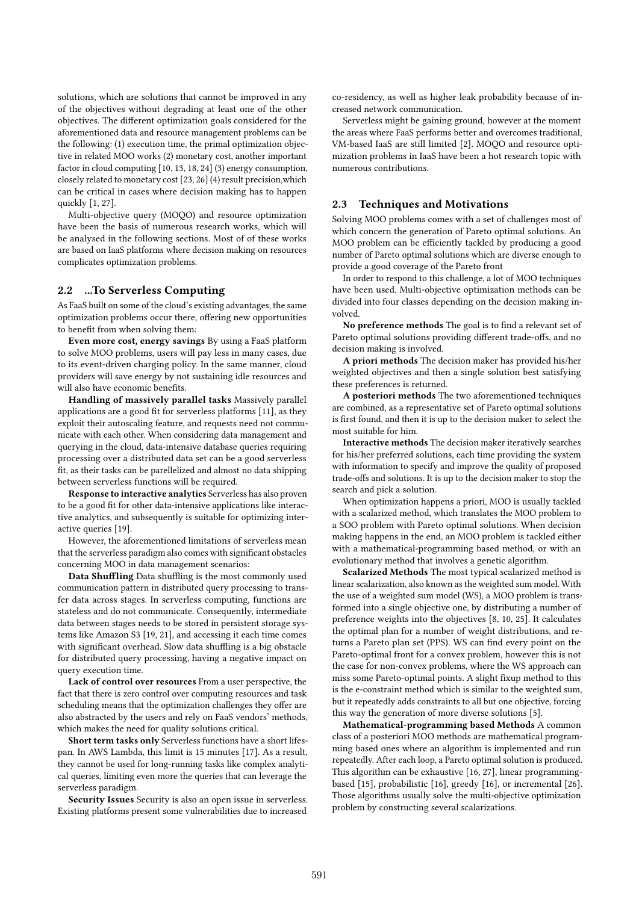solutions, which are solutions that cannot be improved in any of the objectives without degrading at least one of the other objectives. The different optimization goals considered for the aforementioned data and resource management problems can be the following: (1) execution time, the primal optimization objective in related MOO works (2) monetary cost, another important factor in cloud computing [10, 13, 18, 24] (3) energy consumption, closely related to monetary cost [23, 26] (4) result precision,which can be critical in cases where decision making has to happen quickly [1, 27].

Multi-objective query (MOQO) and resource optimization have been the basis of numerous research works, which will be analysed in the following sections. Most of of these works are based on IaaS platforms where decision making on resources complicates optimization problems.

#### 2.2 ...To Serverless Computing

As FaaS built on some of the cloud's existing advantages, the same optimization problems occur there, offering new opportunities to benefit from when solving them:

Even more cost, energy savings By using a FaaS platform to solve MOO problems, users will pay less in many cases, due to its event-driven charging policy. In the same manner, cloud providers will save energy by not sustaining idle resources and will also have economic benefits.

Handling of massively parallel tasks Massively parallel applications are a good fit for serverless platforms [11], as they exploit their autoscaling feature, and requests need not communicate with each other. When considering data management and querying in the cloud, data-intensive database queries requiring processing over a distributed data set can be a good serverless fit, as their tasks can be parellelized and almost no data shipping between serverless functions will be required.

Response to interactive analytics Serverless has also proven to be a good fit for other data-intensive applications like interactive analytics, and subsequently is suitable for optimizing interactive queries [19].

However, the aforementioned limitations of serverless mean that the serverless paradigm also comes with significant obstacles concerning MOO in data management scenarios:

Data Shuffling Data shuffling is the most commonly used communication pattern in distributed query processing to transfer data across stages. In serverless computing, functions are stateless and do not communicate. Consequently, intermediate data between stages needs to be stored in persistent storage systems like Amazon S3 [19, 21], and accessing it each time comes with significant overhead. Slow data shuffling is a big obstacle for distributed query processing, having a negative impact on query execution time.

Lack of control over resources From a user perspective, the fact that there is zero control over computing resources and task scheduling means that the optimization challenges they offer are also abstracted by the users and rely on FaaS vendors' methods, which makes the need for quality solutions critical.

Short term tasks only Serverless functions have a short lifespan. In AWS Lambda, this limit is 15 minutes [17]. As a result, they cannot be used for long-running tasks like complex analytical queries, limiting even more the queries that can leverage the serverless paradigm.

Security Issues Security is also an open issue in serverless. Existing platforms present some vulnerabilities due to increased

co-residency, as well as higher leak probability because of increased network communication.

Serverless might be gaining ground, however at the moment the areas where FaaS performs better and overcomes traditional, VM-based IaaS are still limited [2]. MOQO and resource optimization problems in IaaS have been a hot research topic with numerous contributions.

#### 2.3 Techniques and Motivations

Solving MOO problems comes with a set of challenges most of which concern the generation of Pareto optimal solutions. An MOO problem can be efficiently tackled by producing a good number of Pareto optimal solutions which are diverse enough to provide a good coverage of the Pareto front

In order to respond to this challenge, a lot of MOO techniques have been used. Multi-objective optimization methods can be divided into four classes depending on the decision making involved.

No preference methods The goal is to find a relevant set of Pareto optimal solutions providing different trade-offs, and no decision making is involved.

A priori methods The decision maker has provided his/her weighted objectives and then a single solution best satisfying these preferences is returned.

A posteriori methods The two aforementioned techniques are combined, as a representative set of Pareto optimal solutions is first found, and then it is up to the decision maker to select the most suitable for him.

Interactive methods The decision maker iteratively searches for his/her preferred solutions, each time providing the system with information to specify and improve the quality of proposed trade-offs and solutions. It is up to the decision maker to stop the search and pick a solution.

When optimization happens a priori, MOO is usually tackled with a scalarized method, which translates the MOO problem to a SOO problem with Pareto optimal solutions. When decision making happens in the end, an MOO problem is tackled either with a mathematical-programming based method, or with an evolutionary method that involves a genetic algorithm.

Scalarized Methods The most typical scalarized method is linear scalarization, also known as the weighted sum model. With the use of a weighted sum model (WS), a MOO problem is transformed into a single objective one, by distributing a number of preference weights into the objectives [8, 10, 25]. It calculates the optimal plan for a number of weight distributions, and returns a Pareto plan set (PPS). WS can find every point on the Pareto-optimal front for a convex problem, however this is not the case for non-convex problems, where the WS approach can miss some Pareto-optimal points. A slight fixup method to this is the e-constraint method which is similar to the weighted sum, but it repeatedly adds constraints to all but one objective, forcing this way the generation of more diverse solutions [5].

Mathematical-programming based Methods A common class of a posteriori MOO methods are mathematical programming based ones where an algorithm is implemented and run repeatedly. After each loop, a Pareto optimal solution is produced. This algorithm can be exhaustive [16, 27], linear programmingbased [15], probabilistic [16], greedy [16], or incremental [26]. Those algorithms usually solve the multi-objective optimization problem by constructing several scalarizations.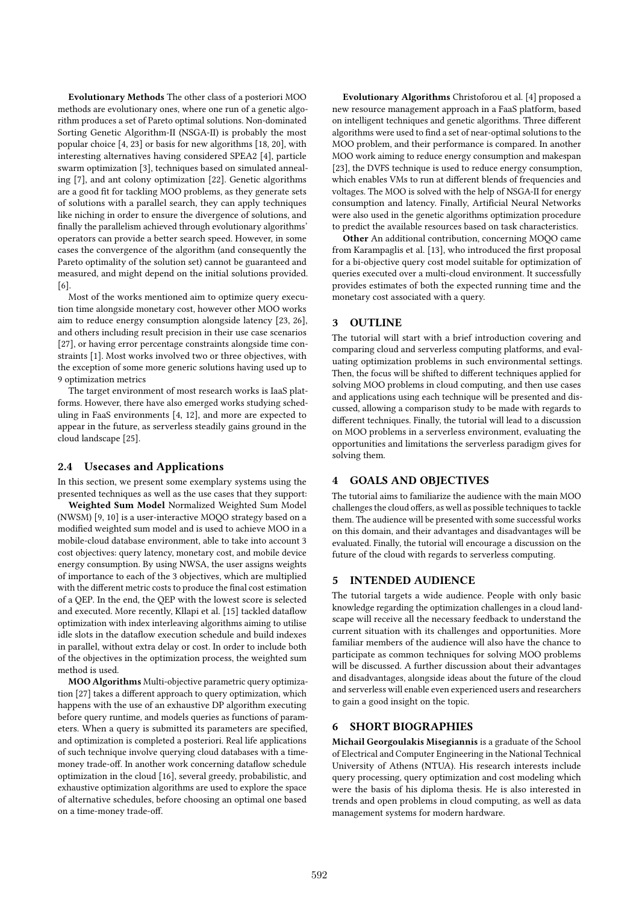Evolutionary Methods The other class of a posteriori MOO methods are evolutionary ones, where one run of a genetic algorithm produces a set of Pareto optimal solutions. Non-dominated Sorting Genetic Algorithm-II (NSGA-II) is probably the most popular choice [4, 23] or basis for new algorithms [18, 20], with interesting alternatives having considered SPEA2 [4], particle swarm optimization [3], techniques based on simulated annealing [7], and ant colony optimization [22]. Genetic algorithms are a good fit for tackling MOO problems, as they generate sets of solutions with a parallel search, they can apply techniques like niching in order to ensure the divergence of solutions, and finally the parallelism achieved through evolutionary algorithms' operators can provide a better search speed. However, in some cases the convergence of the algorithm (and consequently the Pareto optimality of the solution set) cannot be guaranteed and measured, and might depend on the initial solutions provided. [6].

Most of the works mentioned aim to optimize query execution time alongside monetary cost, however other MOO works aim to reduce energy consumption alongside latency [23, 26], and others including result precision in their use case scenarios [27], or having error percentage constraints alongside time constraints [1]. Most works involved two or three objectives, with the exception of some more generic solutions having used up to 9 optimization metrics

The target environment of most research works is IaaS platforms. However, there have also emerged works studying scheduling in FaaS environments [4, 12], and more are expected to appear in the future, as serverless steadily gains ground in the cloud landscape [25].

#### 2.4 Usecases and Applications

In this section, we present some exemplary systems using the presented techniques as well as the use cases that they support:

Weighted Sum Model Normalized Weighted Sum Model (NWSM) [9, 10] is a user-interactive MOQO strategy based on a modified weighted sum model and is used to achieve MOO in a mobile-cloud database environment, able to take into account 3 cost objectives: query latency, monetary cost, and mobile device energy consumption. By using NWSA, the user assigns weights of importance to each of the 3 objectives, which are multiplied with the different metric costs to produce the final cost estimation of a QEP. In the end, the QEP with the lowest score is selected and executed. More recently, Kllapi et al. [15] tackled dataflow optimization with index interleaving algorithms aiming to utilise idle slots in the dataflow execution schedule and build indexes in parallel, without extra delay or cost. In order to include both of the objectives in the optimization process, the weighted sum method is used.

MOO Algorithms Multi-objective parametric query optimization [27] takes a different approach to query optimization, which happens with the use of an exhaustive DP algorithm executing before query runtime, and models queries as functions of parameters. When a query is submitted its parameters are specified, and optimization is completed a posteriori. Real life applications of such technique involve querying cloud databases with a timemoney trade-off. In another work concerning dataflow schedule optimization in the cloud [16], several greedy, probabilistic, and exhaustive optimization algorithms are used to explore the space of alternative schedules, before choosing an optimal one based on a time-money trade-off.

Evolutionary Algorithms Christoforou et al. [4] proposed a new resource management approach in a FaaS platform, based on intelligent techniques and genetic algorithms. Three different algorithms were used to find a set of near-optimal solutions to the MOO problem, and their performance is compared. In another MOO work aiming to reduce energy consumption and makespan [23], the DVFS technique is used to reduce energy consumption, which enables VMs to run at different blends of frequencies and voltages. The MOO is solved with the help of NSGA-II for energy consumption and latency. Finally, Artificial Neural Networks were also used in the genetic algorithms optimization procedure to predict the available resources based on task characteristics.

Other An additional contribution, concerning MOQO came from Karampaglis et al. [13], who introduced the first proposal for a bi-objective query cost model suitable for optimization of queries executed over a multi-cloud environment. It successfully provides estimates of both the expected running time and the monetary cost associated with a query.

### 3 OUTLINE

The tutorial will start with a brief introduction covering and comparing cloud and serverless computing platforms, and evaluating optimization problems in such environmental settings. Then, the focus will be shifted to different techniques applied for solving MOO problems in cloud computing, and then use cases and applications using each technique will be presented and discussed, allowing a comparison study to be made with regards to different techniques. Finally, the tutorial will lead to a discussion on MOO problems in a serverless environment, evaluating the opportunities and limitations the serverless paradigm gives for solving them.

#### 4 GOALS AND OBJECTIVES

The tutorial aims to familiarize the audience with the main MOO challenges the cloud offers, as well as possible techniques to tackle them. The audience will be presented with some successful works on this domain, and their advantages and disadvantages will be evaluated. Finally, the tutorial will encourage a discussion on the future of the cloud with regards to serverless computing.

#### 5 INTENDED AUDIENCE

The tutorial targets a wide audience. People with only basic knowledge regarding the optimization challenges in a cloud landscape will receive all the necessary feedback to understand the current situation with its challenges and opportunities. More familiar members of the audience will also have the chance to participate as common techniques for solving MOO problems will be discussed. A further discussion about their advantages and disadvantages, alongside ideas about the future of the cloud and serverless will enable even experienced users and researchers to gain a good insight on the topic.

#### 6 SHORT BIOGRAPHIES

Michail Georgoulakis Misegiannis is a graduate of the School of Electrical and Computer Engineering in the National Technical University of Athens (NTUA). His research interests include query processing, query optimization and cost modeling which were the basis of his diploma thesis. He is also interested in trends and open problems in cloud computing, as well as data management systems for modern hardware.